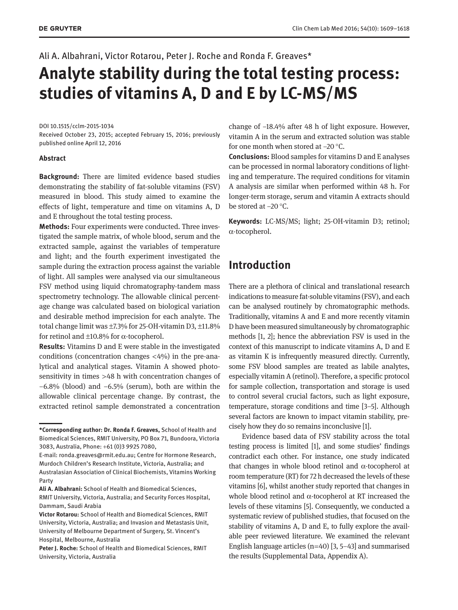Ali A. Albahrani, Victor Rotarou, Peter J. Roche and Ronda F. Greaves\*

# **Analyte stability during the total testing process: studies of vitamins A, D and E by LC-MS/MS**

DOI 10.1515/cclm-2015-1034

Received October 23, 2015; accepted February 15, 2016; previously published online April 12, 2016

#### **Abstract**

**Background:** There are limited evidence based studies demonstrating the stability of fat-soluble vitamins (FSV) measured in blood. This study aimed to examine the effects of light, temperature and time on vitamins A, D and E throughout the total testing process.

**Methods:** Four experiments were conducted. Three investigated the sample matrix, of whole blood, serum and the extracted sample, against the variables of temperature and light; and the fourth experiment investigated the sample during the extraction process against the variable of light. All samples were analysed via our simultaneous FSV method using liquid chromatography-tandem mass spectrometry technology. The allowable clinical percentage change was calculated based on biological variation and desirable method imprecision for each analyte. The total change limit was ±7.3% for 25-OH-vitamin D3, ±11.8% for retinol and  $\pm 10.8\%$  for  $\alpha$ -tocopherol.

**Results:** Vitamins D and E were stable in the investigated conditions (concentration changes  $\langle 4\% \rangle$ ) in the pre-analytical and analytical stages. Vitamin A showed photosensitivity in times >48 h with concentration changes of −6.8% (blood) and −6.5% (serum), both are within the allowable clinical percentage change. By contrast, the extracted retinol sample demonstrated a concentration

change of −18.4% after 48 h of light exposure. However, vitamin A in the serum and extracted solution was stable for one month when stored at −20 °C.

**Conclusions:** Blood samples for vitamins D and E analyses can be processed in normal laboratory conditions of lighting and temperature. The required conditions for vitamin A analysis are similar when performed within 48 h. For longer-term storage, serum and vitamin A extracts should be stored at −20 °C.

**Keywords:** LC-MS/MS; light; 25-OH-vitamin D3; retinol; α-tocopherol.

# **Introduction**

There are a plethora of clinical and translational research indications to measure fat-soluble vitamins (FSV), and each can be analysed routinely by chromatographic methods. Traditionally, vitamins A and E and more recently vitamin D have been measured simultaneously by chromatographic methods [1, 2]; hence the abbreviation FSV is used in the context of this manuscript to indicate vitamins A, D and E as vitamin K is infrequently measured directly. Currently, some FSV blood samples are treated as labile analytes, especially vitamin A (retinol). Therefore, a specific protocol for sample collection, transportation and storage is used to control several crucial factors, such as light exposure, temperature, storage conditions and time [3–5]. Although several factors are known to impact vitamin stability, precisely how they do so remains inconclusive [1].

Evidence based data of FSV stability across the total testing process is limited [1], and some studies' findings contradict each other. For instance, one study indicated that changes in whole blood retinol and  $α$ -tocopherol at room temperature (RT) for 72 h decreased the levels of these vitamins [6], whilst another study reported that changes in whole blood retinol and α-tocopherol at RT increased the levels of these vitamins [5]. Consequently, we conducted a systematic review of published studies, that focused on the stability of vitamins A, D and E, to fully explore the available peer reviewed literature. We examined the relevant English language articles  $(n=40)$  [3, 5–43] and summarised the results (Supplemental Data, Appendix A).

**<sup>\*</sup>Corresponding author: Dr. Ronda F. Greaves,** School of Health and Biomedical Sciences, RMIT University, PO Box 71, Bundoora, Victoria 3083, Australia, Phone: +61 (0)3 9925 7080,

E-mail: [ronda.greaves@rmit.edu.au;](mailto:ronda.greaves@rmit.edu.au) Centre for Hormone Research, Murdoch Children's Research Institute, Victoria, Australia; and Australasian Association of Clinical Biochemists, Vitamins Working Party

**Ali A. Albahrani:** School of Health and Biomedical Sciences, RMIT University, Victoria, Australia; and Security Forces Hospital, Dammam, Saudi Arabia

**Victor Rotarou:** School of Health and Biomedical Sciences, RMIT University, Victoria, Australia; and Invasion and Metastasis Unit, University of Melbourne Department of Surgery, St. Vincent's Hospital, Melbourne, Australia

**Peter J. Roche:** School of Health and Biomedical Sciences, RMIT University, Victoria, Australia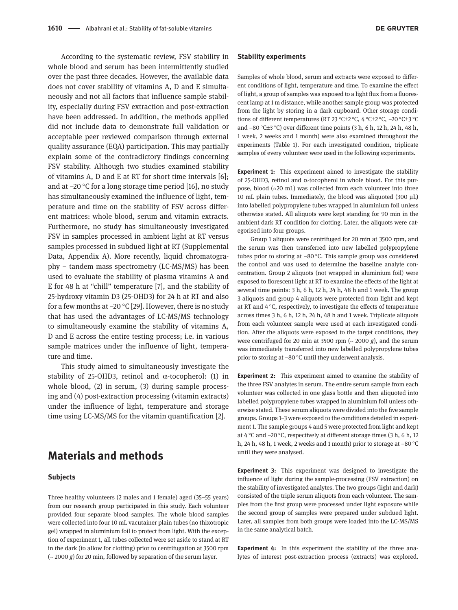According to the systematic review, FSV stability in whole blood and serum has been intermittently studied over the past three decades. However, the available data does not cover stability of vitamins A, D and E simultaneously and not all factors that influence sample stability, especially during FSV extraction and post-extraction have been addressed. In addition, the methods applied did not include data to demonstrate full validation or acceptable peer reviewed comparison through external quality assurance (EQA) participation. This may partially explain some of the contradictory findings concerning FSV stability. Although two studies examined stability of vitamins A, D and E at RT for short time intervals [6]; and at −20 °C for a long storage time period [16], no study has simultaneously examined the influence of light, temperature and time on the stability of FSV across different matrices: whole blood, serum and vitamin extracts. Furthermore, no study has simultaneously investigated FSV in samples processed in ambient light at RT versus samples processed in subdued light at RT (Supplemental Data, Appendix A). More recently, liquid chromatography – tandem mass spectrometry (LC-MS/MS) has been used to evaluate the stability of plasma vitamins A and E for 48 h at "chill" temperature [7], and the stability of 25-hydroxy vitamin D3 (25-OHD3) for 24 h at RT and also for a few months at −20 °C [29]. However, there is no study that has used the advantages of LC-MS/MS technology to simultaneously examine the stability of vitamins A, D and E across the entire testing process; i.e. in various sample matrices under the influence of light, temperature and time.

This study aimed to simultaneously investigate the stability of 25-OHD3, retinol and  $\alpha$ -tocopherol: (1) in whole blood, (2) in serum, (3) during sample processing and (4) post-extraction processing (vitamin extracts) under the influence of light, temperature and storage time using LC-MS/MS for the vitamin quantification [2].

## **Materials and methods**

#### **Subjects**

Three healthy volunteers (2 males and 1 female) aged (35–55 years) from our research group participated in this study. Each volunteer provided four separate blood samples. The whole blood samples were collected into four 10 mL vacutainer plain tubes (no thixotropic gel) wrapped in aluminium foil to protect from light. With the exception of experiment 1, all tubes collected were set aside to stand at RT in the dark (to allow for clotting) prior to centrifugation at 3500 rpm (~ 2000 *g*) for 20 min, followed by separation of the serum layer.

Samples of whole blood, serum and extracts were exposed to different conditions of light, temperature and time. To examine the effect of light, a group of samples was exposed to a light flux from a fluorescent lamp at 1 m distance, while another sample group was protected from the light by storing in a dark cupboard. Other storage conditions of different temperatures (RT 23 °C±2 °C, 4 °C±2 °C, −20 °C±3 °C and −80 °C±3 °C) over different time points (3 h, 6 h, 12 h, 24 h, 48 h, 1 week, 2 weeks and 1 month) were also examined throughout the experiments (Table 1). For each investigated condition, triplicate samples of every volunteer were used in the following experiments.

**Experiment 1:** This experiment aimed to investigate the stability of 25-OHD3, retinol and α-tocopherol in whole blood. For this purpose, blood (≈20 mL) was collected from each volunteer into three 10 mL plain tubes. Immediately, the blood was aliquoted (300 μL) into labelled polypropylene tubes wrapped in aluminium foil unless otherwise stated. All aliquots were kept standing for 90 min in the ambient dark RT condition for clotting. Later, the aliquots were categorised into four groups.

Group 1 aliquots were centrifuged for 20 min at 3500 rpm, and the serum was then transferred into new labelled polypropylene tubes prior to storing at −80 °C. This sample group was considered the control and was used to determine the baseline analyte concentration. Group 2 aliquots (not wrapped in aluminium foil) were exposed to florescent light at RT to examine the effects of the light at several time points: 3 h, 6 h, 12 h, 24 h, 48 h and 1 week. The group 3 aliquots and group 4 aliquots were protected from light and kept at RT and 4 °C, respectively, to investigate the effects of temperature across times 3 h, 6 h, 12 h, 24 h, 48 h and 1 week. Triplicate aliquots from each volunteer sample were used at each investigated condition. After the aliquots were exposed to the target conditions, they were centrifuged for 20 min at 3500 rpm  $($   $\sim$  2000 *g* $)$ , and the serum was immediately transferred into new labelled polypropylene tubes prior to storing at −80 °C until they underwent analysis.

**Experiment 2:** This experiment aimed to examine the stability of the three FSV analytes in serum. The entire serum sample from each volunteer was collected in one glass bottle and then aliquoted into labelled polypropylene tubes wrapped in aluminium foil unless otherwise stated. These serum aliquots were divided into the five sample groups. Groups 1–3 were exposed to the conditions detailed in experiment 1. The sample groups 4 and 5 were protected from light and kept at 4 °C and −20 °C, respectively at different storage times (3 h, 6 h, 12 h, 24 h, 48 h, 1 week, 2 weeks and 1 month) prior to storage at −80 °C until they were analysed.

**Experiment 3:** This experiment was designed to investigate the influence of light during the sample-processing (FSV extraction) on the stability of investigated analytes. The two groups (light and dark) consisted of the triple serum aliquots from each volunteer. The samples from the first group were processed under light exposure while the second group of samples were prepared under subdued light. Later, all samples from both groups were loaded into the LC-MS/MS in the same analytical batch.

**Experiment 4:** In this experiment the stability of the three analytes of interest post-extraction process (extracts) was explored.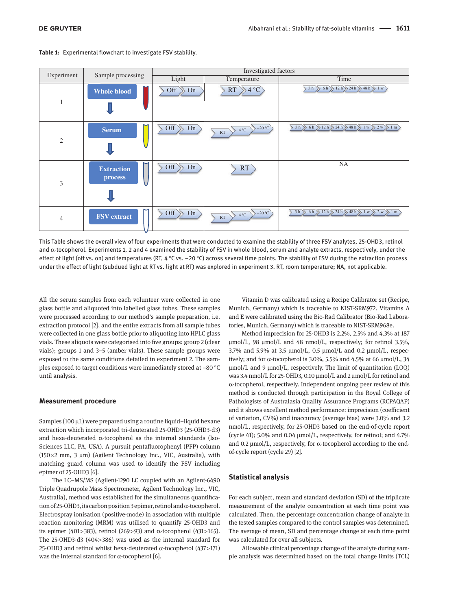| Experiment     | Sample processing            | Investigated factors   |                                           |                                                                                                                                                                   |
|----------------|------------------------------|------------------------|-------------------------------------------|-------------------------------------------------------------------------------------------------------------------------------------------------------------------|
|                |                              | Light                  | Temperature                               | Time                                                                                                                                                              |
| 1              | <b>Whole blood</b>           | $\text{Off} \gg$<br>On | $RT \rightarrow 4 °C$                     | $3 h \nvert 6 h \nvert 12 h \nvert 24 h \nvert 48 h \nvert 1 w \nvert$                                                                                            |
| $\mathfrak{2}$ | <b>Serum</b>                 | Off<br>On              | $\rightarrow$ -20 °C<br>$\geq 4$ °C<br>RT | $\langle$ 3 h $\rangle$ 6 h $\rangle$ 12 h $\rangle$ 24 h $\rangle$ 48 h $\rangle$ 1 w $\rangle$ 2 w $\rangle$ 1 m                                                |
| 3              | <b>Extraction</b><br>process | Off<br>On              | RT                                        | NA                                                                                                                                                                |
| $\overline{4}$ | <b>FSV</b> extract           | Off<br>On              | $4^{\circ}$ C $20^{\circ}$<br>RT          | $\left.\left.\right\{3h\right\}$ 6h $\left.\right\}$ 12h $\left.\right\}$ 24h $\left.\right\}$ 48h $\left.\right\}$ 1 w $\left.\right\}$ 2 w $\left.\right\}$ 1 m |

**Table 1:** Experimental flowchart to investigate FSV stability.

This Table shows the overall view of four experiments that were conducted to examine the stability of three FSV analytes, 25-OHD3, retinol and  $\alpha$ -tocopherol. Experiments 1, 2 and 4 examined the stability of FSV in whole blood, serum and analyte extracts, respectively, under the effect of light (off vs. on) and temperatures (RT, 4 $\degree$ C vs. –20 $\degree$ C) across several time points. The stability of FSV during the extraction process under the effect of light (subdued light at RT vs. light at RT) was explored in experiment 3. RT, room temperature; NA, not applicable.

All the serum samples from each volunteer were collected in one glass bottle and aliquoted into labelled glass tubes. These samples were processed according to our method's sample preparation, i.e. extraction protocol [2], and the entire extracts from all sample tubes were collected in one glass bottle prior to aliquoting into HPLC glass vials. These aliquots were categorised into five groups: group 2 (clear vials); groups 1 and 3–5 (amber vials). These sample groups were exposed to the same conditions detailed in experiment 2. The samples exposed to target conditions were immediately stored at −80 °C until analysis.

#### **Measurement procedure**

Samples (100 μL) were prepared using a routine liquid–liquid hexane extraction which incorporated tri-deuterated 25-OHD3 (25-OHD3-d3) and hexa-deuterated  $\alpha$ -tocopherol as the internal standards (Iso-Sciences LLC, PA, USA). A pursuit pentafluorophenyl (PFP) column (150 $\times$ 2 mm, 3 µm) (Agilent Technology Inc., VIC, Australia), with matching guard column was used to identify the FSV including epimer of 25-OHD3 [6].

The LC–MS/MS (Agilent-1290 LC coupled with an Agilent-6490 Triple Quadrupole Mass Spectrometer, Agilent Technology Inc., VIC, Australia), method was established for the simultaneous quantification of 25-OHD3, its carbon position 3 epimer, retinol and α-tocopherol. Electrospray ionisation (positive-mode) in association with multiple reaction monitoring (MRM) was utilised to quantify 25-OHD3 and its epimer (401>383), retinol (269>93) and  $\alpha$ -tocopherol (431>165). The 25-OHD3-d3 (404>386) was used as the internal standard for 25-OHD3 and retinol whilst hexa-deuterated  $\alpha$ -tocopherol (437>171) was the internal standard for  $\alpha$ -tocopherol [6].

Vitamin D was calibrated using a Recipe Calibrator set (Recipe, Munich, Germany) which is traceable to NIST-SRM972. Vitamins A and E were calibrated using the Bio-Rad Calibrator (Bio-Rad Laboratories, Munich, Germany) which is traceable to NIST-SRM968e.

Method imprecision for 25-OHD3 is 2.2%, 2.5% and 4.3% at 187 μmol/L, 98 μmol/L and 48 nmol/L, respectively; for retinol 3.5%, 3.7% and 5.9% at 3.5 μmol/L, 0.5 μmol/L and 0.2 μmol/L, respectively; and for α-tocopherol is 3.0%, 5.5% and 4.5% at 66  $μmol/L$ , 34 μmol/L and 9 μmol/L, respectively. The limit of quantitation (LOQ) was 3.4 nmol/L for 25-OHD3, 0.10 μmol/L and 2 μmol/L for retinol and α-tocopherol, respectively. Independent ongoing peer review of this method is conducted through participation in the Royal College of Pathologists of Australasia Quality Assurance Programs (RCPAQAP) and it shows excellent method performance: imprecision (coefficient of variation, CV%) and inaccuracy (average bias) were 3.0% and 3.2 nmol/L, respectively, for 25-OHD3 based on the end-of-cycle report (cycle 41); 5.0% and 0.04 μmol/L, respectively, for retinol; and 4.7% and 0.2 μmol/L, respectively, for α-tocopherol according to the endof-cycle report (cycle 29) [2].

#### **Statistical analysis**

For each subject, mean and standard deviation (SD) of the triplicate measurement of the analyte concentration at each time point was calculated. Then, the percentage concentration change of analyte in the tested samples compared to the control samples was determined. The average of mean, SD and percentage change at each time point was calculated for over all subjects.

Allowable clinical percentage change of the analyte during sample analysis was determined based on the total change limits (TCL)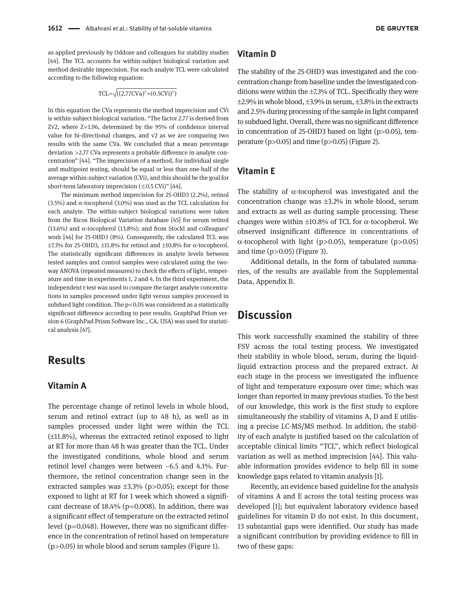as applied previously by Oddoze and colleagues for stability studies [44]. The TCL accounts for within-subject biological variation and method desirable imprecision. For each analyte TCL were calculated according to the following equation:

$$
TCL = \sqrt{((2.77CVa)^2 + (0.5CVi)^2)}
$$

In this equation the CVa represents the method imprecision and CVi is within-subject biological variation. "The factor 2.77 is derived from Z√2, where Z=1.96, determined by the 95% of confidence interval value for bi-directional changes, and √2 as we are comparing two results with the same CVa. We concluded that a mean percentage deviation >2.77 CVa represents a probable difference in analyte concentration" [44]. "The imprecision of a method, for individual single and multipoint testing, should be equal or less than one-half of the average within-subject variation (CVi), and this should be the goal for short-term laboratory imprecision  $(\leq 0.5 \text{ CVi})$ " [44].

The minimum method imprecision for 25-OHD3 (2.2%), retinol (3.5%) and  $\alpha$ -tocopherol (3.0%) was used as the TCL calculation for each analyte. The within-subject biological variations were taken from the Ricos Biological Variation database [45] for serum retinol (13.6%) and  $\alpha$ -tocopherol (13.8%); and from Stockl and colleagues' work [46] for 25-OHD3 (8%). Consequently, the calculated TCL was  $\pm$ 7.3% for 25-OHD3,  $\pm$ 11.8% for retinol and  $\pm$ 10.8% for  $\alpha$ -tocopherol. The statistically significant differences in analyte levels between tested samples and control samples were calculated using the twoway ANOVA (repeated measures) to check the effects of light, temperature and time in experiments 1, 2 and 4. In the third experiment, the independent t-test was used to compare the target analyte concentrations in samples processed under light versus samples processed in subdued light condition. The  $p$ <0.05 was considered as a statistically significant difference according to peer results. GraphPad Prism version 6 (GraphPad Prism Software Inc., CA, USA) was used for statistical analysis [47].

# **Results**

### **Vitamin A**

The percentage change of retinol levels in whole blood, serum and retinol extract (up to 48 h), as well as in samples processed under light were within the TCL (±11.8%), whereas the extracted retinol exposed to light at RT for more than 48 h was greater than the TCL. Under the investigated conditions, whole blood and serum retinol level changes were between −6.5 and 4.1%. Furthermore, the retinol concentration change seen in the extracted samples was  $\pm 3.3\%$  (p>0.05); except for those exposed to light at RT for 1 week which showed a significant decrease of  $18.4\%$  (p=0.008). In addition, there was a significant effect of temperature on the extracted retinol level ( $p=0.048$ ). However, there was no significant difference in the concentration of retinol based on temperature  $(p>0.05)$  in whole blood and serum samples (Figure 1).

### **Vitamin D**

The stability of the 25-OHD3 was investigated and the concentration change from baseline under the investigated conditions were within the ±7.3% of TCL. Specifically they were  $\pm$ 2.9% in whole blood,  $\pm$ 3.9% in serum,  $\pm$ 3.8% in the extracts and 2.5% during processing of the sample in light compared to subdued light. Overall, there was no significant difference in concentration of 25-OHD3 based on light (p>0.05), temperature ( $p$  $>$ 0.05) and time ( $p$  $>$ 0.05) (Figure 2).

### **Vitamin E**

The stability of  $\alpha$ -tocopherol was investigated and the concentration change was  $\pm 3.2\%$  in whole blood, serum and extracts as well as during sample processing. These changes were within  $\pm 10.8\%$  of TCL for  $\alpha$ -tocopherol. We observed insignificant difference in concentrations of α-tocopherol with light (p>0.05), temperature (p>0.05) and time  $(p>0.05)$  (Figure 3).

Additional details, in the form of tabulated summaries, of the results are available from the Supplemental Data, Appendix B.

# **Discussion**

This work successfully examined the stability of three FSV across the total testing process. We investigated their stability in whole blood, serum, during the liquidliquid extraction process and the prepared extract. At each stage in the process we investigated the influence of light and temperature exposure over time; which was longer than reported in many previous studies. To the best of our knowledge, this work is the first study to explore simultaneously the stability of vitamins A, D and E utilising a precise LC-MS/MS method. In addition, the stability of each analyte is justified based on the calculation of acceptable clinical limits "TCL", which reflect biological variation as well as method imprecision [44]. This valuable information provides evidence to help fill in some knowledge gaps related to vitamin analysis [1].

Recently, an evidence based guideline for the analysis of vitamins A and E across the total testing process was developed [1]; but equivalent laboratory evidence based guidelines for vitamin D do not exist. In this document, 13 substantial gaps were identified. Our study has made a significant contribution by providing evidence to fill in two of these gaps: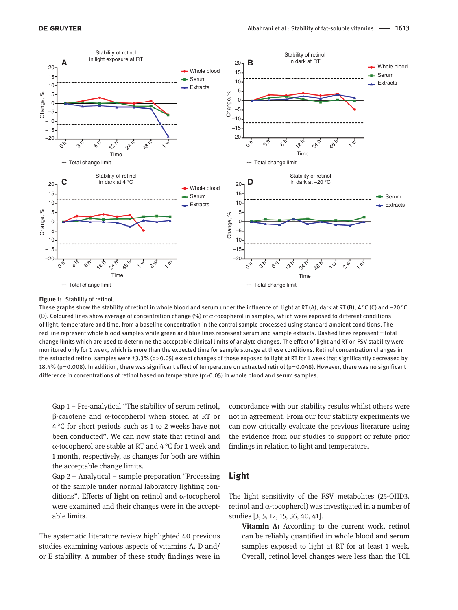

#### **Figure 1:** Stability of retinol.

These graphs show the stability of retinol in whole blood and serum under the influence of: light at RT (A), dark at RT (B), 4 °C (C) and −20 °C (D). Coloured lines show average of concentration change (%) of α-tocopherol in samples, which were exposed to different conditions of light, temperature and time, from a baseline concentration in the control sample processed using standard ambient conditions. The red line represent whole blood samples while green and blue lines represent serum and sample extracts. Dashed lines represent ± total change limits which are used to determine the acceptable clinical limits of analyte changes. The effect of light and RT on FSV stability were monitored only for 1 week, which is more than the expected time for sample storage at these conditions. Retinol concentration changes in the extracted retinol samples were ±3.3% (p>0.05) except changes of those exposed to light at RT for 1 week that significantly decreased by 18.4% (p=0.008). In addition, there was significant effect of temperature on extracted retinol (p=0.048). However, there was no significant difference in concentrations of retinol based on temperature ( $p$  > 0.05) in whole blood and serum samples.

Gap 1 – Pre-analytical "The stability of serum retinol, β-carotene and α-tocopherol when stored at RT or 4 °C for short periods such as 1 to 2 weeks have not been conducted". We can now state that retinol and α-tocopherol are stable at RT and 4 °C for 1 week and 1 month, respectively, as changes for both are within the acceptable change limits.

Gap 2 – Analytical – sample preparation "Processing of the sample under normal laboratory lighting conditions". Effects of light on retinol and α-tocopherol were examined and their changes were in the acceptable limits.

The systematic literature review highlighted 40 previous studies examining various aspects of vitamins A, D and/ or E stability. A number of these study findings were in concordance with our stability results whilst others were not in agreement. From our four stability experiments we can now critically evaluate the previous literature using the evidence from our studies to support or refute prior findings in relation to light and temperature.

### **Light**

The light sensitivity of the FSV metabolites (25-OHD3, retinol and α-tocopherol) was investigated in a number of studies [3, 5, 12, 15, 36, 40, 41].

**Vitamin A:** According to the current work, retinol can be reliably quantified in whole blood and serum samples exposed to light at RT for at least 1 week. Overall, retinol level changes were less than the TCL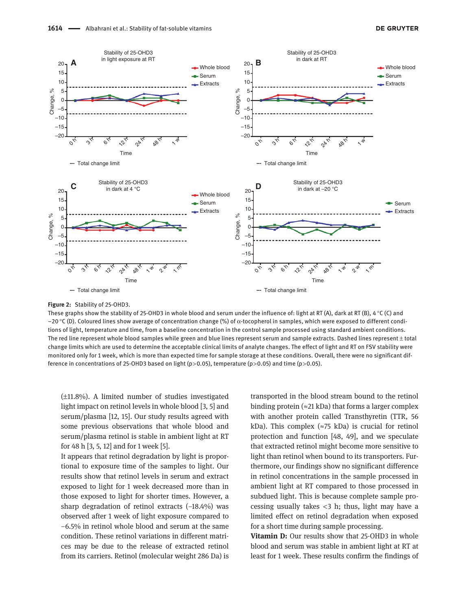

### **Figure 2:** Stability of 25-OHD3.

These graphs show the stability of 25-OHD3 in whole blood and serum under the influence of: light at RT (A), dark at RT (B),  $4^{\circ}$ C (C) and −20 °C (D). Coloured lines show average of concentration change (%) of α-tocopherol in samples, which were exposed to different conditions of light, temperature and time, from a baseline concentration in the control sample processed using standard ambient conditions. The red line represent whole blood samples while green and blue lines represent serum and sample extracts. Dashed lines represent ± total change limits which are used to determine the acceptable clinical limits of analyte changes. The effect of light and RT on FSV stability were monitored only for 1 week, which is more than expected time for sample storage at these conditions. Overall, there were no significant difference in concentrations of 25-OHD3 based on light (p>0.05), temperature (p>0.05) and time (p>0.05).

(±11.8%). A limited number of studies investigated light impact on retinol levels in whole blood [3, 5] and serum/plasma [12, 15]. Our study results agreed with some previous observations that whole blood and serum/plasma retinol is stable in ambient light at RT for 48 h [3, 5, 12] and for 1 week [5].

It appears that retinol degradation by light is proportional to exposure time of the samples to light. Our results show that retinol levels in serum and extract exposed to light for 1 week decreased more than in those exposed to light for shorter times. However, a sharp degradation of retinol extracts (−18.4%) was observed after 1 week of light exposure compared to −6.5% in retinol whole blood and serum at the same condition. These retinol variations in different matrices may be due to the release of extracted retinol from its carriers. Retinol (molecular weight 286 Da) is

transported in the blood stream bound to the retinol binding protein ( $\approx$ 21 kDa) that forms a larger complex with another protein called Transthyretin (TTR, 56 kDa). This complex ( $\approx$ 75 kDa) is crucial for retinol protection and function [48, 49], and we speculate that extracted retinol might become more sensitive to light than retinol when bound to its transporters. Furthermore, our findings show no significant difference in retinol concentrations in the sample processed in ambient light at RT compared to those processed in subdued light. This is because complete sample processing usually takes  $<$ 3 h; thus, light may have a limited effect on retinol degradation when exposed for a short time during sample processing.

**Vitamin D:** Our results show that 25-OHD3 in whole blood and serum was stable in ambient light at RT at least for 1 week. These results confirm the findings of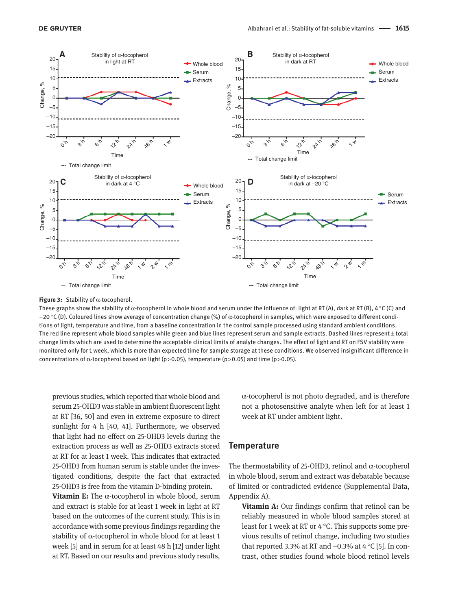

**Figure 3:** Stability of α-tocopherol.

These graphs show the stability of  $\alpha$ -tocopherol in whole blood and serum under the influence of: light at RT (A), dark at RT (B), 4 °C (C) and −20 °C (D). Coloured lines show average of concentration change (%) of α-tocopherol in samples, which were exposed to different conditions of light, temperature and time, from a baseline concentration in the control sample processed using standard ambient conditions. The red line represent whole blood samples while green and blue lines represent serum and sample extracts. Dashed lines represent ± total change limits which are used to determine the acceptable clinical limits of analyte changes. The effect of light and RT on FSV stability were monitored only for 1 week, which is more than expected time for sample storage at these conditions. We observed insignificant difference in concentrations of  $\alpha$ -tocopherol based on light (p>0.05), temperature (p>0.05) and time (p>0.05).

previous studies, which reported that whole blood and serum 25-OHD3 was stable in ambient fluorescent light at RT [36, 50] and even in extreme exposure to direct sunlight for 4 h [40, 41]. Furthermore, we observed that light had no effect on 25-OHD3 levels during the extraction process as well as 25-OHD3 extracts stored at RT for at least 1 week. This indicates that extracted 25-OHD3 from human serum is stable under the investigated conditions, despite the fact that extracted 25-OHD3 is free from the vitamin D-binding protein.

**Vitamin E:** The α-tocopherol in whole blood, serum and extract is stable for at least 1 week in light at RT based on the outcomes of the current study. This is in accordance with some previous findings regarding the stability of  $\alpha$ -tocopherol in whole blood for at least 1 week [5] and in serum for at least 48 h [12] under light at RT. Based on our results and previous study results,

α-tocopherol is not photo degraded, and is therefore not a photosensitive analyte when left for at least 1 week at RT under ambient light.

### **Temperature**

The thermostability of 25-OHD3, retinol and  $\alpha$ -tocopherol in whole blood, serum and extract was debatable because of limited or contradicted evidence (Supplemental Data, Appendix A).

**Vitamin A:** Our findings confirm that retinol can be reliably measured in whole blood samples stored at least for 1 week at RT or 4 °C. This supports some previous results of retinol change, including two studies that reported 3.3% at RT and −0.3% at 4 °C [5]. In contrast, other studies found whole blood retinol levels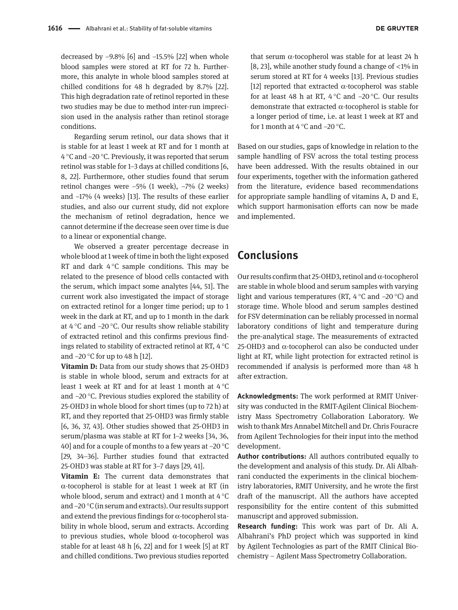decreased by −9.8% [6] and −15.5% [22] when whole blood samples were stored at RT for 72 h. Furthermore, this analyte in whole blood samples stored at chilled conditions for 48 h degraded by 8.7% [22]. This high degradation rate of retinol reported in these two studies may be due to method inter-run imprecision used in the analysis rather than retinol storage conditions.

Regarding serum retinol, our data shows that it is stable for at least 1 week at RT and for 1 month at 4 °C and −20 °C. Previously, it was reported that serum retinol was stable for 1–3 days at chilled conditions [6, 8, 22]. Furthermore, other studies found that serum retinol changes were −5% (1 week), −7% (2 weeks) and −17% (4 weeks) [13]. The results of these earlier studies, and also our current study, did not explore the mechanism of retinol degradation, hence we cannot determine if the decrease seen over time is due to a linear or exponential change.

We observed a greater percentage decrease in whole blood at 1 week of time in both the light exposed RT and dark 4 °C sample conditions. This may be related to the presence of blood cells contacted with the serum, which impact some analytes [44, 51]. The current work also investigated the impact of storage on extracted retinol for a longer time period; up to 1 week in the dark at RT, and up to 1 month in the dark at 4 °C and −20 °C. Our results show reliable stability of extracted retinol and this confirms previous findings related to stability of extracted retinol at RT, 4 °C and −20 °C for up to 48 h [12].

**Vitamin D:** Data from our study shows that 25-OHD3 is stable in whole blood, serum and extracts for at least 1 week at RT and for at least 1 month at 4 °C and −20 °C. Previous studies explored the stability of 25-OHD3 in whole blood for short times (up to 72 h) at RT, and they reported that 25-OHD3 was firmly stable [6, 36, 37, 43]. Other studies showed that 25-OHD3 in serum/plasma was stable at RT for 1–2 weeks [34, 36, 40] and for a couple of months to a few years at −20 °C [29, 34–36]. Further studies found that extracted 25-OHD3 was stable at RT for 3–7 days [29, 41].

**Vitamin E:** The current data demonstrates that α-tocopherol is stable for at least 1 week at RT (in whole blood, serum and extract) and 1 month at 4 °C and −20 °C (in serum and extracts). Our results support and extend the previous findings for  $\alpha$ -tocopherol stability in whole blood, serum and extracts. According to previous studies, whole blood α-tocopherol was stable for at least 48 h [6, 22] and for 1 week [5] at RT and chilled conditions. Two previous studies reported that serum  $α$ -tocopherol was stable for at least 24 h [8, 23], while another study found a change of  $\langle 1\%$  in serum stored at RT for 4 weeks [13]. Previous studies [12] reported that extracted  $\alpha$ -tocopherol was stable for at least 48 h at RT, 4 °C and −20 °C. Our results demonstrate that extracted α-tocopherol is stable for a longer period of time, i.e. at least 1 week at RT and for 1 month at 4 °C and −20 °C.

Based on our studies, gaps of knowledge in relation to the sample handling of FSV across the total testing process have been addressed. With the results obtained in our four experiments, together with the information gathered from the literature, evidence based recommendations for appropriate sample handling of vitamins A, D and E, which support harmonisation efforts can now be made and implemented.

# **Conclusions**

Our results confirm that 25-OHD3, retinol and α-tocopherol are stable in whole blood and serum samples with varying light and various temperatures (RT, 4 °C and −20 °C) and storage time. Whole blood and serum samples destined for FSV determination can be reliably processed in normal laboratory conditions of light and temperature during the pre-analytical stage. The measurements of extracted 25-OHD3 and α-tocopherol can also be conducted under light at RT, while light protection for extracted retinol is recommended if analysis is performed more than 48 h after extraction.

**Acknowledgments:** The work performed at RMIT University was conducted in the RMIT-Agilent Clinical Biochemistry Mass Spectrometry Collaboration Laboratory. We wish to thank Mrs Annabel Mitchell and Dr. Chris Fouracre from Agilent Technologies for their input into the method development.

**Author contributions:** All authors contributed equally to the development and analysis of this study. Dr. Ali Albahrani conducted the experiments in the clinical biochemistry laboratories, RMIT University, and he wrote the first draft of the manuscript. All the authors have accepted responsibility for the entire content of this submitted manuscript and approved submission.

**Research funding:** This work was part of Dr. Ali A. Albahrani's PhD project which was supported in kind by Agilent Technologies as part of the RMIT Clinical Biochemistry – Agilent Mass Spectrometry Collaboration.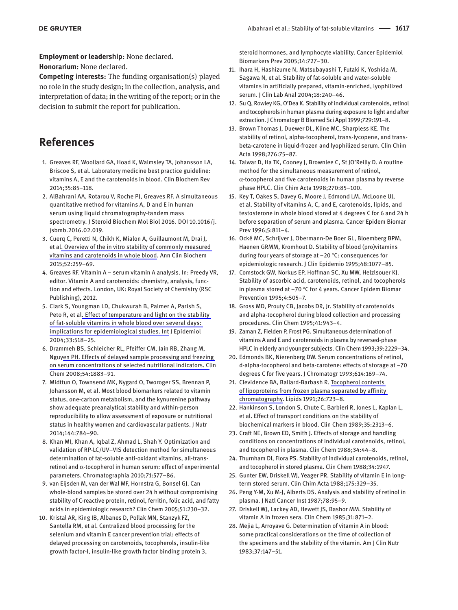**Employment or leadership:** None declared.

**Honorarium:** None declared.

**Competing interests:** The funding organisation(s) played no role in the study design; in the collection, analysis, and interpretation of data; in the writing of the report; or in the decision to submit the report for publication.

# **References**

- 1. Greaves RF, Woollard GA, Hoad K, Walmsley TA, Johansson LA, Briscoe S, et al. Laboratory medicine best practice guideline: vitamins A, E and the carotenoids in blood. Clin Biochem Rev 2014;35:85–118.
- 2. AlBahrani AA, Rotarou V, Roche PJ, Greaves RF. A simultaneous quantitative method for vitamins A, D and E in human serum using liquid chromatography-tandem mass spectrometry. J Steroid Biochem Mol Biol 2016. DOI 10.1016/j. jsbmb.2016.02.019.
- 3. Cuerq C, Peretti N, Chikh K, Mialon A, Guillaumont M, Drai J, et al. Overview of the in vitro stability of commonly measured vitamins and carotenoids in whole blood. Ann Clin Biochem 2015;52:259–69.
- 4. Greaves RF. Vitamin A serum vitamin A analysis. In: Preedy VR, editor. Vitamin A and carotenoids: chemistry, analysis, function and effects. London, UK: Royal Society of Chemistry (RSC Publishing), 2012.
- 5. Clark S, Youngman LD, Chukwurah B, Palmer A, Parish S, Peto R, et al. Effect of temperature and light on the stability of fat-soluble vitamins in whole blood over several days: implications for epidemiological studies. Int J Epidemiol 2004;33:518–25.
- 6. Drammeh BS, Schleicher RL, Pfeiffer CM, Jain RB, Zhang M, Nguyen PH. Effects of delayed sample processing and freezing on serum concentrations of selected nutritional indicators. Clin Chem 2008;54:1883–91.
- 7. Midttun O, Townsend MK, Nygard O, Tworoger SS, Brennan P, Johansson M, et al. Most blood biomarkers related to vitamin status, one-carbon metabolism, and the kynurenine pathway show adequate preanalytical stability and within-person reproducibility to allow assessment of exposure or nutritional status in healthy women and cardiovascular patients. J Nutr 2014;144:784–90.
- 8. Khan MI, Khan A, Iqbal Z, Ahmad L, Shah Y. Optimization and validation of RP-LC/UV–VIS detection method for simultaneous determination of fat-soluble anti-oxidant vitamins, all-transretinol and α-tocopherol in human serum: effect of experimental parameters. Chromatographia 2010;71:577–86.
- 9. van Eijsden M, van der Wal MF, Hornstra G, Bonsel GJ. Can whole-blood samples be stored over 24 h without compromising stability of C-reactive protein, retinol, ferritin, folic acid, and fatty acids in epidemiologic research? Clin Chem 2005;51:230–32.
- 10. Kristal AR, King IB, Albanes D, Pollak MN, Stanzyk FZ, Santella RM, et al. Centralized blood processing for the selenium and vitamin E cancer prevention trial: effects of delayed processing on carotenoids, tocopherols, insulin-like growth factor-I, insulin-like growth factor binding protein 3,

steroid hormones, and lymphocyte viability. Cancer Epidemiol Biomarkers Prev 2005;14:727–30.

- 11. Ihara H, Hashizume N, Matsubayashi T, Futaki K, Yoshida M, Sagawa N, et al. Stability of fat-soluble and water-soluble vitamins in artificially prepared, vitamin-enriched, lyophilized serum. J Clin Lab Anal 2004;18:240–46.
- 12. Su Q, Rowley KG, O'Dea K. Stability of individual carotenoids, retinol and tocopherols in human plasma during exposure to light and after extraction. J Chromatogr B Biomed Sci Appl 1999;729:191–8.
- 13. Brown Thomas J, Duewer DL, Kline MC, Sharpless KE. The stability of retinol, alpha-tocopherol, trans-lycopene, and transbeta-carotene in liquid-frozen and lyophilized serum. Clin Chim Acta 1998;276:75–87.
- 14. Talwar D, Ha TK, Cooney J, Brownlee C, St JO'Reilly D. A routine method for the simultaneous measurement of retinol, α-tocopherol and five carotenoids in human plasma by reverse phase HPLC. Clin Chim Acta 1998;270:85–100.
- 15. Key T, Oakes S, Davey G, Moore J, Edmond LM, McLoone UJ, et al. Stability of vitamins A, C, and E, carotenoids, lipids, and testosterone in whole blood stored at 4 degrees C for 6 and 24 h before separation of serum and plasma. Cancer Epidem Biomar Prev 1996;5:811–4.
- 16. Ocké MC, Schrijver J, Obermann-De Boer GL, Bloemberg BPM, Haenen GRMM, Kromhout D. Stability of blood (pro)vitamins during four years of storage at −20 °C: consequences for epidemiologic research. J Clin Epidemio 1995;48:1077–85.
- 17. Comstock GW, Norkus EP, Hoffman SC, Xu MW, Helzlsouer KJ. Stability of ascorbic acid, carotenoids, retinol, and tocopherols in plasma stored at −70 °C for 4 years. Cancer Epidem Biomar Prevention 1995;4:505–7.
- 18. Gross MD, Prouty CB, Jacobs DR, Jr. Stability of carotenoids and alpha-tocopherol during blood collection and processing procedures. Clin Chem 1995;41:943–4.
- 19. Zaman Z, Fielden P, Frost PG. Simultaneous determination of vitamins A and E and carotenoids in plasma by reversed-phase HPLC in elderly and younger subjects. Clin Chem 1993;39:2229–34.
- 20. Edmonds BK, Nierenberg DW. Serum concentrations of retinol, d-alpha-tocopherol and beta-carotene: effects of storage at −70 degrees C for five years. J Chromatogr 1993;614:169–74.
- 21. Clevidence BA, Ballard-Barbash R. Tocopherol contents of lipoproteins from frozen plasma separated by affinity chromatography. Lipids 1991;26:723–8.
- 22. Hankinson S, London S, Chute C, Barbieri R, Jones L, Kaplan L, et al. Effect of transport conditions on the stability of biochemical markers in blood. Clin Chem 1989;35:2313–6.
- 23. Craft NE, Brown ED, Smith J. Effects of storage and handling conditions on concentrations of individual carotenoids, retinol, and tocopherol in plasma. Clin Chem 1988;34:44–8.
- 24. Thurnham DI, Flora PS. Stability of individual carotenoids, retinol, and tocopherol in stored plasma. Clin Chem 1988;34:1947.
- 25. Gunter EW, Driskell WJ, Yeager PR. Stability of vitamin E in longterm stored serum. Clin Chim Acta 1988;175:329–35.
- 26. Peng Y-M, Xu M-J, Alberts DS. Analysis and stability of retinol in plasma. J Natl Cancer Inst 1987;78:95–9.
- 27. Driskell WJ, Lackey AD, Hewett JS, Bashor MM. Stability of vitamin A in frozen sera. Clin Chem 1985;31:871–2.
- 28. Mejia L, Arroyave G. Determination of vitamin A in blood: some practical considerations on the time of collection of the specimens and the stability of the vitamin. Am J Clin Nutr 1983;37:147–51.